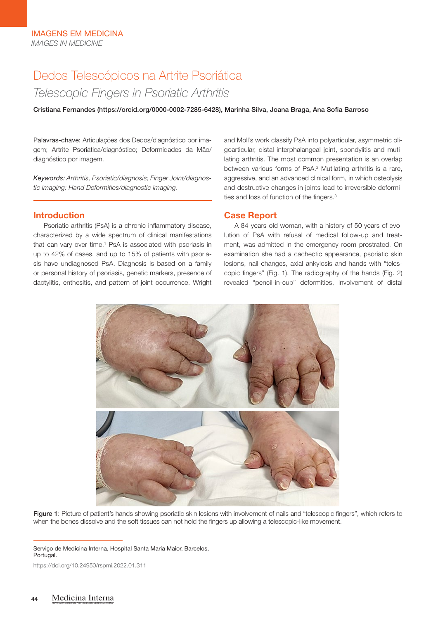# Dedos Telescópicos na Artrite Psoriática *Telescopic Fingers in Psoriatic Arthritis*

Cristiana Fernandes (https://orcid.org/0000-0002-7285-6428), Marinha Silva, Joana Braga, Ana Sofia Barroso

Palavras-chave: Articulações dos Dedos/diagnóstico por imagem; Artrite Psoriática/diagnóstico; Deformidades da Mão/ diagnóstico por imagem.

*Keywords: Arthritis, Psoriatic/diagnosis; Finger Joint/diagnostic imaging; Hand Deformities/diagnostic imaging.*

## Introduction

Psoriatic arthritis (PsA) is a chronic inflammatory disease, characterized by a wide spectrum of clinical manifestations that can vary over time.<sup>1</sup> PsA is associated with psoriasis in up to 42% of cases, and up to 15% of patients with psoriasis have undiagnosed PsA. Diagnosis is based on a family or personal history of psoriasis, genetic markers, presence of dactylitis, enthesitis, and pattern of joint occurrence. Wright

and Moll´s work classify PsA into polyarticular, asymmetric oligoarticular, distal interphalangeal joint, spondylitis and mutilating arthritis. The most common presentation is an overlap between various forms of PsA.<sup>2</sup> Mutilating arthritis is a rare, aggressive, and an advanced clinical form, in which osteolysis and destructive changes in joints lead to irreversible deformities and loss of function of the fingers.<sup>3</sup>

## Case Report

A 84-years-old woman, with a history of 50 years of evolution of PsA with refusal of medical follow-up and treatment, was admitted in the emergency room prostrated. On examination she had a cachectic appearance, psoriatic skin lesions, nail changes, axial ankylosis and hands with "telescopic fingers" (Fig. 1). The radiography of the hands (Fig. 2) revealed "pencil-in-cup" deformities, involvement of distal



Figure 1: Picture of patient's hands showing psoriatic skin lesions with involvement of nails and "telescopic fingers", which refers to when the bones dissolve and the soft tissues can not hold the fingers up allowing a telescopic-like movement.

Serviço de Medicina Interna, Hospital Santa Maria Maior, Barcelos, Portugal.

https://doi.org/10.24950/rspmi.2022.01.311

REVISTA DA SOCIEDADE PORTUGUESA DE MEDICINA INTERNA